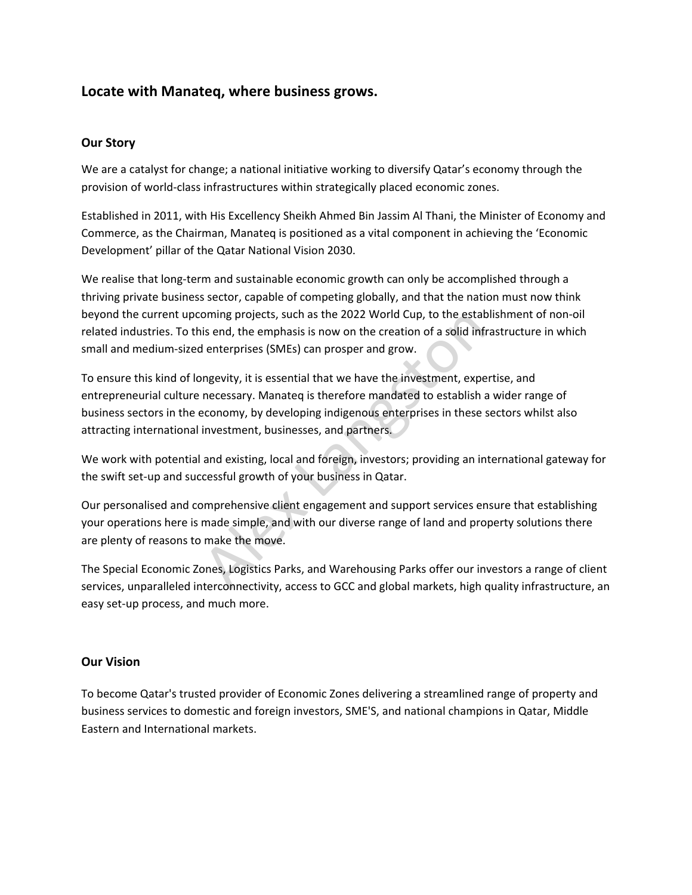# **Locate with Manateq, where business grows.**

## **Our Story**

We are a catalyst for change; a national initiative working to diversify Qatar's economy through the provision of world-class infrastructures within strategically placed economic zones.

Established in 2011, with His Excellency Sheikh Ahmed Bin Jassim Al Thani, the Minister of Economy and Commerce, as the Chairman, Manateq is positioned as a vital component in achieving the 'Economic Development' pillar of the Qatar National Vision 2030.

We realise that long-term and sustainable economic growth can only be accomplished through a thriving private business sector, capable of competing globally, and that the nation must now think beyond the current upcoming projects, such as the 2022 World Cup, to the establishment of non-oil related industries. To this end, the emphasis is now on the creation of a solid infrastructure in which small and medium-sized enterprises (SMEs) can prosper and grow.

To ensure this kind of longevity, it is essential that we have the investment, expertise, and entrepreneurial culture necessary. Manateq is therefore mandated to establish a wider range of business sectors in the economy, by developing indigenous enterprises in these sectors whilst also attracting international investment, businesses, and partners. oming projects, such as the 2022 World Cup, to the estat<br>is end, the emphasis is now on the creation of a solid infl<br>enterprises (SMEs) can prosper and grow.<br>mgevity, it is essential that we have the investment, experences

We work with potential and existing, local and foreign, investors; providing an international gateway for the swift set-up and successful growth of your business in Qatar.

Our personalised and comprehensive client engagement and support services ensure that establishing your operations here is made simple, and with our diverse range of land and property solutions there are plenty of reasons to make the move.

The Special Economic Zones, Logistics Parks, and Warehousing Parks offer our investors a range of client services, unparalleled interconnectivity, access to GCC and global markets, high quality infrastructure, an easy set-up process, and much more.

## **Our Vision**

To become Qatar's trusted provider of Economic Zones delivering a streamlined range of property and business services to domestic and foreign investors, SME'S, and national champions in Qatar, Middle Eastern and International markets.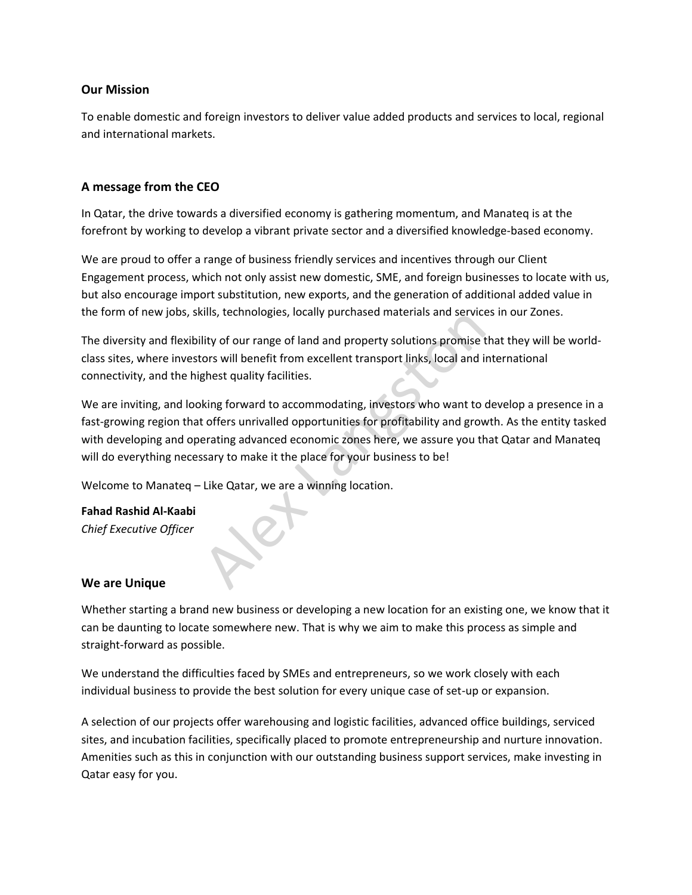## **Our Mission**

To enable domestic and foreign investors to deliver value added products and services to local, regional and international markets.

## **A message from the CEO**

In Qatar, the drive towards a diversified economy is gathering momentum, and Manateq is at the forefront by working to develop a vibrant private sector and a diversified knowledge-based economy.

We are proud to offer a range of business friendly services and incentives through our Client Engagement process, which not only assist new domestic, SME, and foreign businesses to locate with us, but also encourage import substitution, new exports, and the generation of additional added value in the form of new jobs, skills, technologies, locally purchased materials and services in our Zones.

The diversity and flexibility of our range of land and property solutions promise that they will be worldclass sites, where investors will benefit from excellent transport links, local and international connectivity, and the highest quality facilities.

We are inviting, and looking forward to accommodating, investors who want to develop a presence in a fast-growing region that offers unrivalled opportunities for profitability and growth. As the entity tasked with developing and operating advanced economic zones here, we assure you that Qatar and Manateq will do everything necessary to make it the place for your business to be! The set of the materials and service<br>ity of our range of land and property solutions promise t<br>ors will benefit from excellent transport links, local and in<br>ghest quality facilities.<br>king forward to accommodating, investor

Welcome to Manateq – Like Qatar, we are a winning location.

**Fahad Rashid Al-Kaabi** 

*Chief Executive Officer*

## **We are Unique**

Whether starting a brand new business or developing a new location for an existing one, we know that it can be daunting to locate somewhere new. That is why we aim to make this process as simple and straight-forward as possible.

We understand the difficulties faced by SMEs and entrepreneurs, so we work closely with each individual business to provide the best solution for every unique case of set-up or expansion.

A selection of our projects offer warehousing and logistic facilities, advanced office buildings, serviced sites, and incubation facilities, specifically placed to promote entrepreneurship and nurture innovation. Amenities such as this in conjunction with our outstanding business support services, make investing in Qatar easy for you.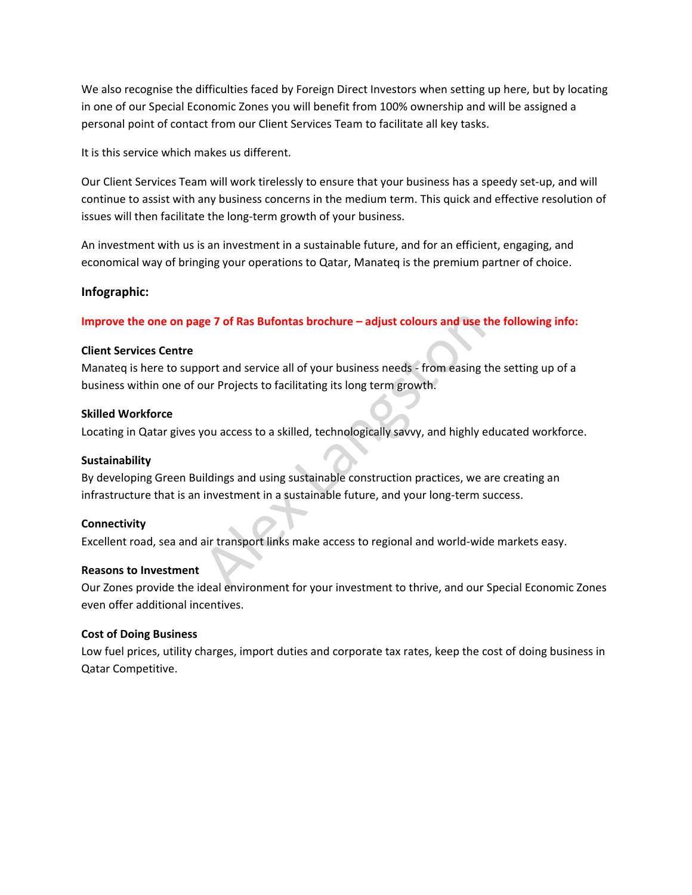We also recognise the difficulties faced by Foreign Direct Investors when setting up here, but by locating in one of our Special Economic Zones you will benefit from 100% ownership and will be assigned a personal point of contact from our Client Services Team to facilitate all key tasks.

It is this service which makes us different.

Our Client Services Team will work tirelessly to ensure that your business has a speedy set-up, and will continue to assist with any business concerns in the medium term. This quick and effective resolution of issues will then facilitate the long-term growth of your business.

An investment with us is an investment in a sustainable future, and for an efficient, engaging, and economical way of bringing your operations to Qatar, Manateq is the premium partner of choice.

## **Infographic:**

**Improve the one on page 7 of Ras Bufontas brochure – adjust colours and use the following info:** 

## **Client Services Centre**

Manateq is here to support and service all of your business needs - from easing the setting up of a business within one of our Projects to facilitating its long term growth. ge 7 of Ras Bufontas brochure – adjust colours and use t<br>
soort and service all of your business needs - from easing t<br>
bur Projects to facilitating its long term growth.<br>
you access to a skilled, technologically savvy, an

## **Skilled Workforce**

Locating in Qatar gives you access to a skilled, technologically savvy, and highly educated workforce.

## **Sustainability**

By developing Green Buildings and using sustainable construction practices, we are creating an infrastructure that is an investment in a sustainable future, and your long-term success.

## **Connectivity**

Excellent road, sea and air transport links make access to regional and world-wide markets easy.

## **Reasons to Investment**

Our Zones provide the ideal environment for your investment to thrive, and our Special Economic Zones even offer additional incentives.

## **Cost of Doing Business**

Low fuel prices, utility charges, import duties and corporate tax rates, keep the cost of doing business in Qatar Competitive.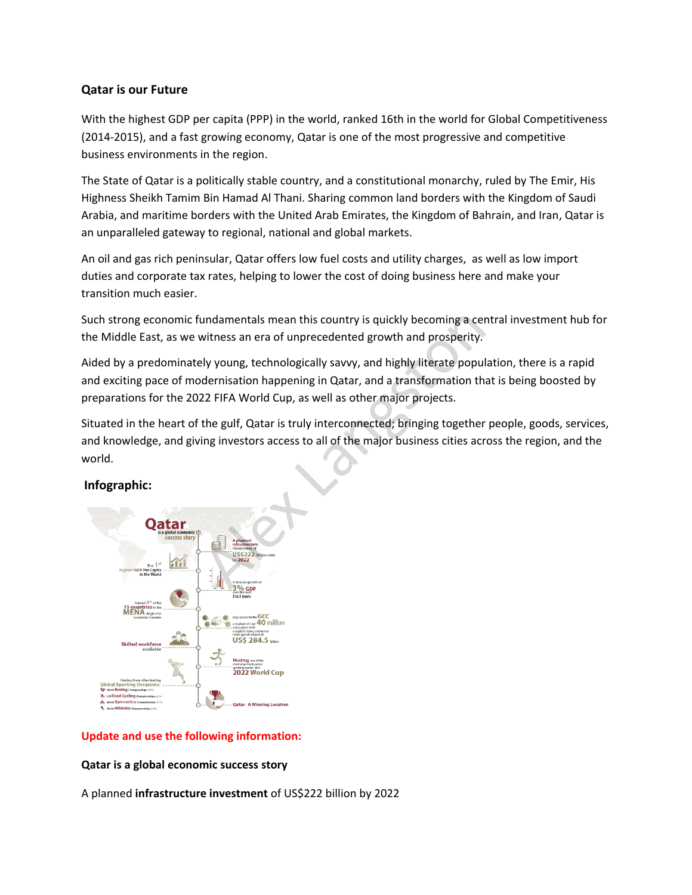## **Qatar is our Future**

With the highest GDP per capita (PPP) in the world, ranked 16th in the world for Global Competitiveness (2014-2015), and a fast growing economy, Qatar is one of the most progressive and competitive business environments in the region.

The State of Qatar is a politically stable country, and a constitutional monarchy, ruled by The Emir, His Highness Sheikh Tamim Bin Hamad Al Thani. Sharing common land borders with the Kingdom of Saudi Arabia, and maritime borders with the United Arab Emirates, the Kingdom of Bahrain, and Iran, Qatar is an unparalleled gateway to regional, national and global markets.

An oil and gas rich peninsular, Qatar offers low fuel costs and utility charges, as well as low import duties and corporate tax rates, helping to lower the cost of doing business here and make your transition much easier.

Such strong economic fundamentals mean this country is quickly becoming a central investment hub for the Middle East, as we witness an era of unprecedented growth and prosperity.

Aided by a predominately young, technologically savvy, and highly literate population, there is a rapid and exciting pace of modernisation happening in Qatar, and a transformation that is being boosted by preparations for the 2022 FIFA World Cup, as well as other major projects. andamentals mean this country is quickly becoming a certifiers an era of unprecedented growth and prosperity.<br>
Ely young, technologically savvy, and highly literate popul<br>
dernisation happening in Qatar, and a transformati

Situated in the heart of the gulf, Qatar is truly interconnected; bringing together people, goods, services, and knowledge, and giving investors access to all of the major business cities across the region, and the world.

## **Infographic:**



## **Update and use the following information:**

## **Qatar is a global economic success story**

A planned **infrastructure investment** of US\$222 billion by 2022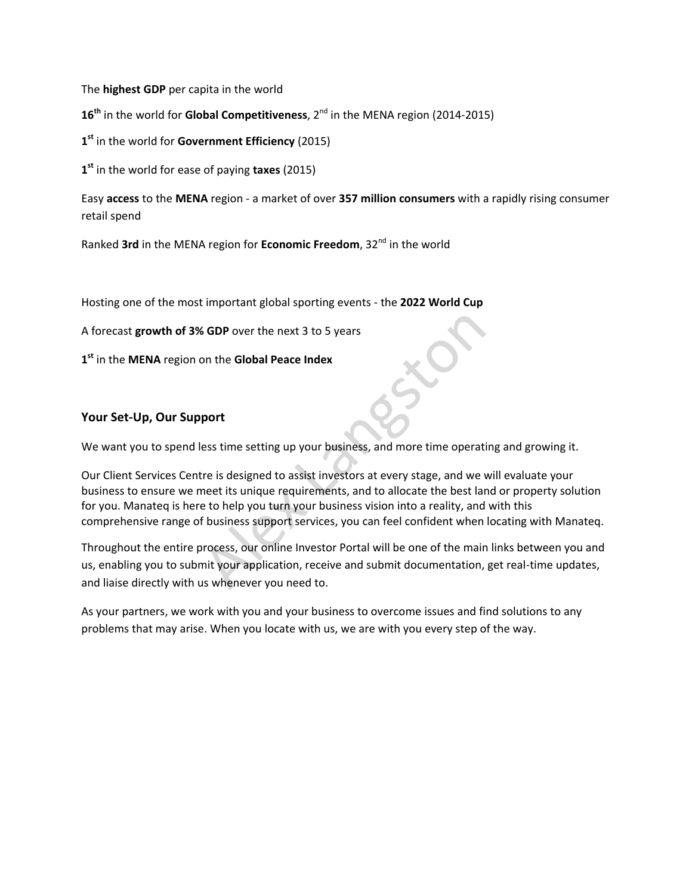The **highest GDP** per capita in the world

16<sup>th</sup> in the world for **Global Competitiveness**, 2<sup>nd</sup> in the MENA region (2014-2015)

**1 st** in the world for **Government Efficiency** (2015)

**1 st** in the world for ease of paying **taxes** (2015)

Easy **access** to the **MENA** region - a market of over **357 million consumers** with a rapidly rising consumer retail spend

Ranked **3rd** in the MENA region for **Economic Freedom**, 32nd in the world

Hosting one of the most important global sporting events - the **2022 World Cup**

A forecast **growth of 3% GDP** over the next 3 to 5 years

**1 st** in the **MENA** region on the **Global Peace Index**

## **Your Set-Up, Our Support**

We want you to spend less time setting up your business, and more time operating and growing it.

Our Client Services Centre is designed to assist investors at every stage, and we will evaluate your business to ensure we meet its unique requirements, and to allocate the best land or property solution for you. Manateq is here to help you turn your business vision into a reality, and with this comprehensive range of business support services, you can feel confident when locating with Manateq. Solar over the next 3 to 5 years<br>
Solar the Global Peace Index<br>
port<br>
ess time setting up your business, and more time operation<br>
of the set is unique requirements, and to allocate the best land<br>
the to help you turn your

Throughout the entire process, our online Investor Portal will be one of the main links between you and us, enabling you to submit your application, receive and submit documentation, get real-time updates, and liaise directly with us whenever you need to.

As your partners, we work with you and your business to overcome issues and find solutions to any problems that may arise. When you locate with us, we are with you every step of the way.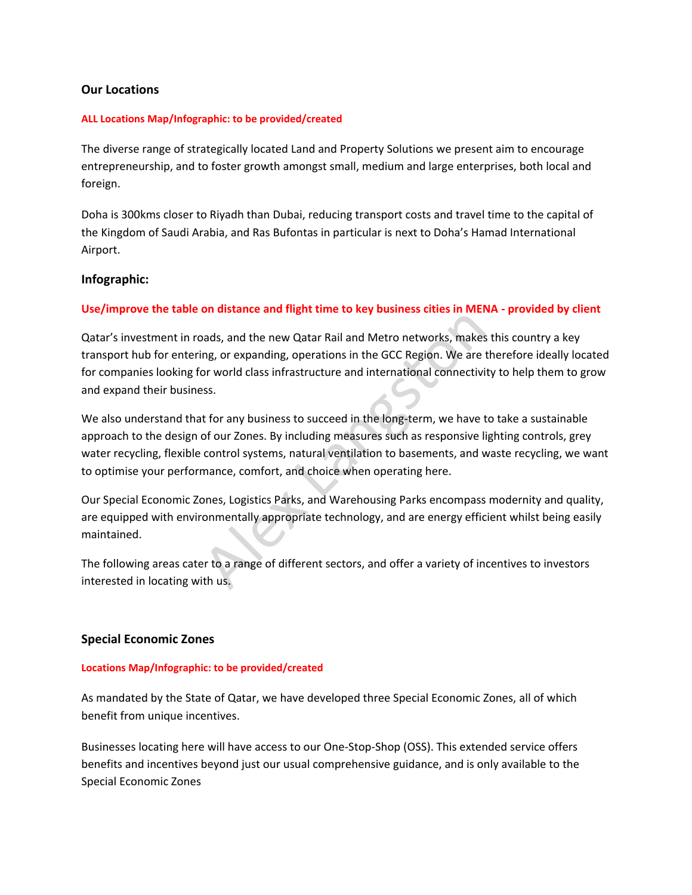### **Our Locations**

#### **ALL Locations Map/Infographic: to be provided/created**

The diverse range of strategically located Land and Property Solutions we present aim to encourage entrepreneurship, and to foster growth amongst small, medium and large enterprises, both local and foreign.

Doha is 300kms closer to Riyadh than Dubai, reducing transport costs and travel time to the capital of the Kingdom of Saudi Arabia, and Ras Bufontas in particular is next to Doha's Hamad International Airport.

#### **Infographic:**

#### **Use/improve the table on distance and flight time to key business cities in MENA - provided by client**

Qatar's investment in roads, and the new Qatar Rail and Metro networks, makes this country a key transport hub for entering, or expanding, operations in the GCC Region. We are therefore ideally located for companies looking for world class infrastructure and international connectivity to help them to grow and expand their business. and the new Qatar Rail and Metro networks, makes and the new Qatar Rail and Metro networks, makes and provided class infrastructure and international connectivisss.<br>
Section world class infrastructure and international con

We also understand that for any business to succeed in the long-term, we have to take a sustainable approach to the design of our Zones. By including measures such as responsive lighting controls, grey water recycling, flexible control systems, natural ventilation to basements, and waste recycling, we want to optimise your performance, comfort, and choice when operating here.

Our Special Economic Zones, Logistics Parks, and Warehousing Parks encompass modernity and quality, are equipped with environmentally appropriate technology, and are energy efficient whilst being easily maintained.

The following areas cater to a range of different sectors, and offer a variety of incentives to investors interested in locating with us.

#### **Special Economic Zones**

#### **Locations Map/Infographic: to be provided/created**

As mandated by the State of Qatar, we have developed three Special Economic Zones, all of which benefit from unique incentives.

Businesses locating here will have access to our One-Stop-Shop (OSS). This extended service offers benefits and incentives beyond just our usual comprehensive guidance, and is only available to the Special Economic Zones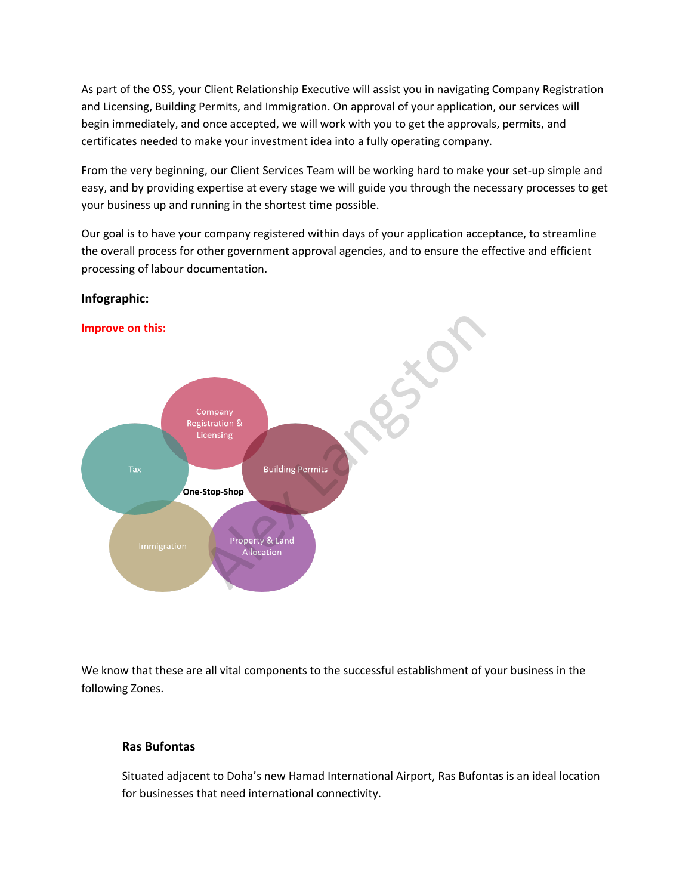As part of the OSS, your Client Relationship Executive will assist you in navigating Company Registration and Licensing, Building Permits, and Immigration. On approval of your application, our services will begin immediately, and once accepted, we will work with you to get the approvals, permits, and certificates needed to make your investment idea into a fully operating company.

From the very beginning, our Client Services Team will be working hard to make your set-up simple and easy, and by providing expertise at every stage we will guide you through the necessary processes to get your business up and running in the shortest time possible.

Our goal is to have your company registered within days of your application acceptance, to streamline the overall process for other government approval agencies, and to ensure the effective and efficient processing of labour documentation.



## **Infographic:**

We know that these are all vital components to the successful establishment of your business in the following Zones.

## **Ras Bufontas**

Situated adjacent to Doha's new Hamad International Airport, Ras Bufontas is an ideal location for businesses that need international connectivity.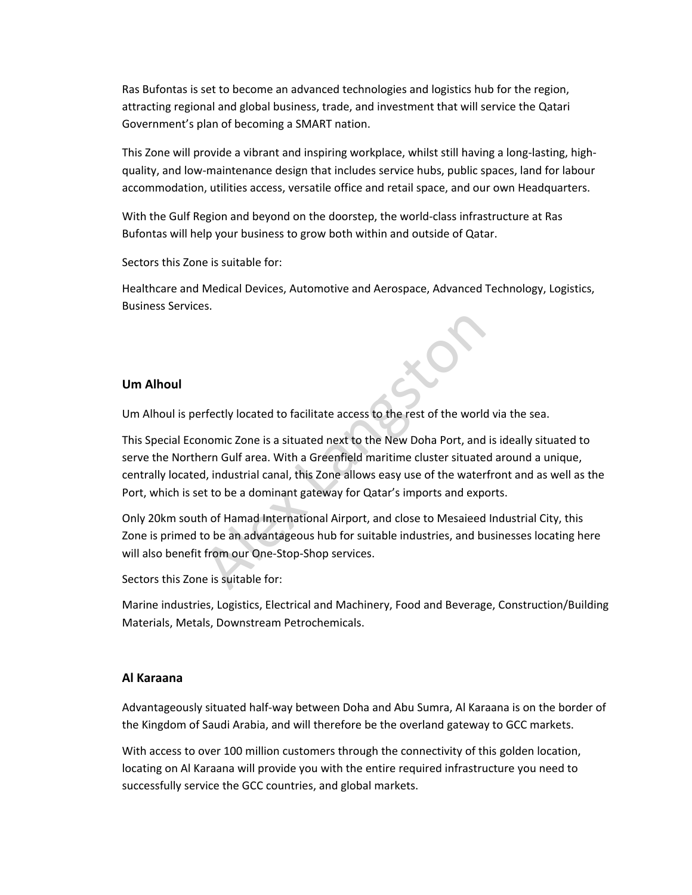Ras Bufontas is set to become an advanced technologies and logistics hub for the region, attracting regional and global business, trade, and investment that will service the Qatari Government's plan of becoming a SMART nation.

This Zone will provide a vibrant and inspiring workplace, whilst still having a long-lasting, highquality, and low-maintenance design that includes service hubs, public spaces, land for labour accommodation, utilities access, versatile office and retail space, and our own Headquarters.

With the Gulf Region and beyond on the doorstep, the world-class infrastructure at Ras Bufontas will help your business to grow both within and outside of Qatar.

Sectors this Zone is suitable for:

Healthcare and Medical Devices, Automotive and Aerospace, Advanced Technology, Logistics, Business Services.

## **Um Alhoul**

Um Alhoul is perfectly located to facilitate access to the rest of the world via the sea.

This Special Economic Zone is a situated next to the New Doha Port, and is ideally situated to serve the Northern Gulf area. With a Greenfield maritime cluster situated around a unique, centrally located, industrial canal, this Zone allows easy use of the waterfront and as well as the Port, which is set to be a dominant gateway for Qatar's imports and exports. rfectly located to facilitate access to the rest of the world<br>nomic Zone is a situated next to the New Doha Port, and<br>ern Gulf area. With a Greenfield maritime cluster situate<br>d, industrial canal, this Zone allows easy use

Only 20km south of Hamad International Airport, and close to Mesaieed Industrial City, this Zone is primed to be an advantageous hub for suitable industries, and businesses locating here will also benefit from our One-Stop-Shop services.

Sectors this Zone is suitable for:

Marine industries, Logistics, Electrical and Machinery, Food and Beverage, Construction/Building Materials, Metals, Downstream Petrochemicals.

## **Al Karaana**

Advantageously situated half-way between Doha and Abu Sumra, Al Karaana is on the border of the Kingdom of Saudi Arabia, and will therefore be the overland gateway to GCC markets.

With access to over 100 million customers through the connectivity of this golden location, locating on Al Karaana will provide you with the entire required infrastructure you need to successfully service the GCC countries, and global markets.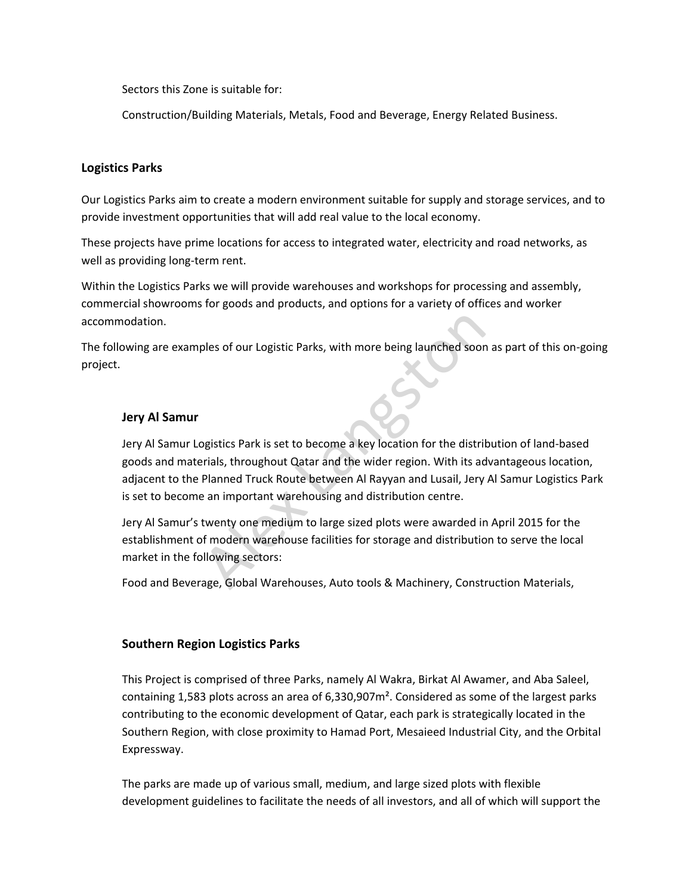Sectors this Zone is suitable for:

Construction/Building Materials, Metals, Food and Beverage, Energy Related Business.

## **Logistics Parks**

Our Logistics Parks aim to create a modern environment suitable for supply and storage services, and to provide investment opportunities that will add real value to the local economy.

These projects have prime locations for access to integrated water, electricity and road networks, as well as providing long-term rent.

Within the Logistics Parks we will provide warehouses and workshops for processing and assembly, commercial showrooms for goods and products, and options for a variety of offices and worker accommodation.

The following are examples of our Logistic Parks, with more being launched soon as part of this on-going project.

## **Jery Al Samur**

Jery Al Samur Logistics Park is set to become a key location for the distribution of land-based goods and materials, throughout Qatar and the wider region. With its advantageous location, adjacent to the Planned Truck Route between Al Rayyan and Lusail, Jery Al Samur Logistics Park is set to become an important warehousing and distribution centre. bles of our Logistic Parks, with more being launched soor<br>Displaces of our Logistic Parks, with more being launched soor<br>Displaces Park is set to become a key location for the distril<br>trials, throughout Qatar and the wider

Jery Al Samur's twenty one medium to large sized plots were awarded in April 2015 for the establishment of modern warehouse facilities for storage and distribution to serve the local market in the following sectors:

Food and Beverage, Global Warehouses, Auto tools & Machinery, Construction Materials,

## **Southern Region Logistics Parks**

This Project is comprised of three Parks, namely Al Wakra, Birkat Al Awamer, and Aba Saleel, containing 1,583 plots across an area of  $6,330,907$  m<sup>2</sup>. Considered as some of the largest parks contributing to the economic development of Qatar, each park is strategically located in the Southern Region, with close proximity to Hamad Port, Mesaieed Industrial City, and the Orbital Expressway.

The parks are made up of various small, medium, and large sized plots with flexible development guidelines to facilitate the needs of all investors, and all of which will support the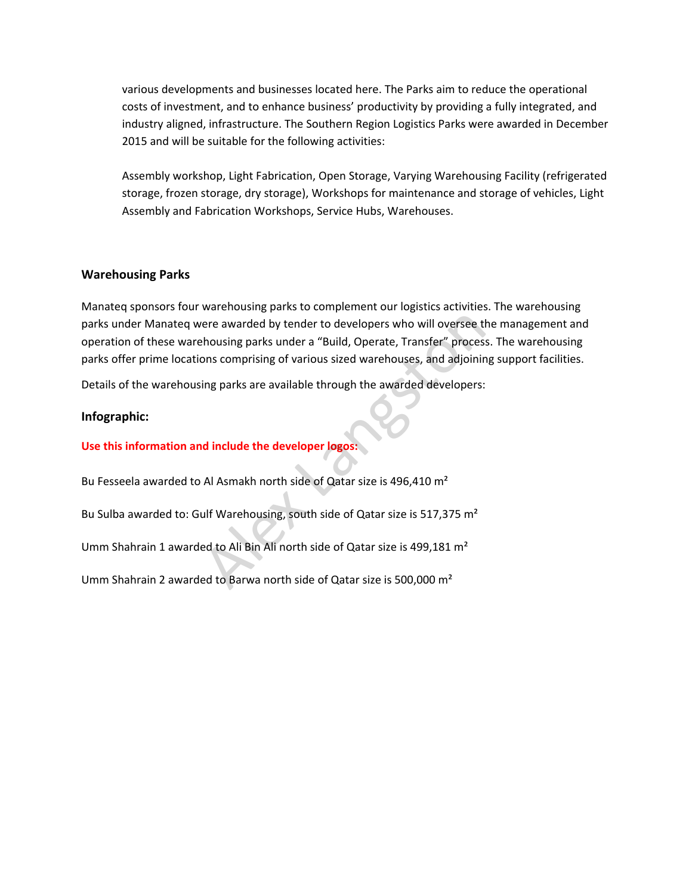various developments and businesses located here. The Parks aim to reduce the operational costs of investment, and to enhance business' productivity by providing a fully integrated, and industry aligned, infrastructure. The Southern Region Logistics Parks were awarded in December 2015 and will be suitable for the following activities:

Assembly workshop, Light Fabrication, Open Storage, Varying Warehousing Facility (refrigerated storage, frozen storage, dry storage), Workshops for maintenance and storage of vehicles, Light Assembly and Fabrication Workshops, Service Hubs, Warehouses.

## **Warehousing Parks**

Manateq sponsors four warehousing parks to complement our logistics activities. The warehousing parks under Manateq were awarded by tender to developers who will oversee the management and operation of these warehousing parks under a "Build, Operate, Transfer" process. The warehousing parks offer prime locations comprising of various sized warehouses, and adjoining support facilities. ere awarded by tender to developers who will oversee the<br>thousing parks under a "Build, Operate, Transfer" process<br>ons comprising of various sized warehouses, and adjoining<br>ing parks are available through the awarded devel

Details of the warehousing parks are available through the awarded developers:

#### **Infographic:**

### **Use this information and include the developer logos:**

Bu Fesseela awarded to Al Asmakh north side of Qatar size is 496,410 m²

Bu Sulba awarded to: Gulf Warehousing, south side of Qatar size is 517,375 m²

Umm Shahrain 1 awarded to Ali Bin Ali north side of Qatar size is 499,181 m²

Umm Shahrain 2 awarded to Barwa north side of Qatar size is 500,000 m²